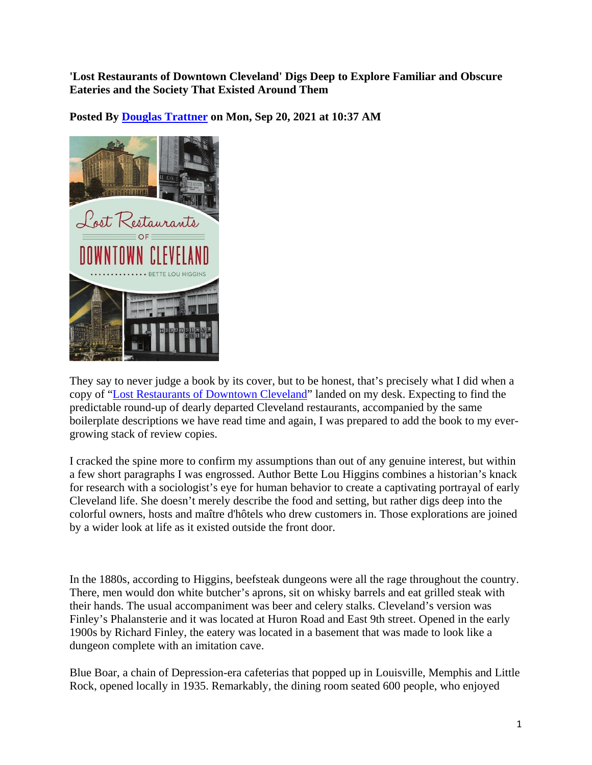**'Lost Restaurants of Downtown Cleveland' Digs Deep to Explore Familiar and Obscure Eateries and the Society That Existed Around Them** 

**Posted By Douglas Trattner on Mon, Sep 20, 2021 at 10:37 AM** 



They say to never judge a book by its cover, but to be honest, that's precisely what I did when a copy of "Lost Restaurants of Downtown Cleveland" landed on my desk. Expecting to find the predictable round-up of dearly departed Cleveland restaurants, accompanied by the same boilerplate descriptions we have read time and again, I was prepared to add the book to my evergrowing stack of review copies.

I cracked the spine more to confirm my assumptions than out of any genuine interest, but within a few short paragraphs I was engrossed. Author Bette Lou Higgins combines a historian's knack for research with a sociologist's eye for human behavior to create a captivating portrayal of early Cleveland life. She doesn't merely describe the food and setting, but rather digs deep into the colorful owners, hosts and maître d'hôtels who drew customers in. Those explorations are joined by a wider look at life as it existed outside the front door.

In the 1880s, according to Higgins, beefsteak dungeons were all the rage throughout the country. There, men would don white butcher's aprons, sit on whisky barrels and eat grilled steak with their hands. The usual accompaniment was beer and celery stalks. Cleveland's version was Finley's Phalansterie and it was located at Huron Road and East 9th street. Opened in the early 1900s by Richard Finley, the eatery was located in a basement that was made to look like a dungeon complete with an imitation cave.

Blue Boar, a chain of Depression-era cafeterias that popped up in Louisville, Memphis and Little Rock, opened locally in 1935. Remarkably, the dining room seated 600 people, who enjoyed